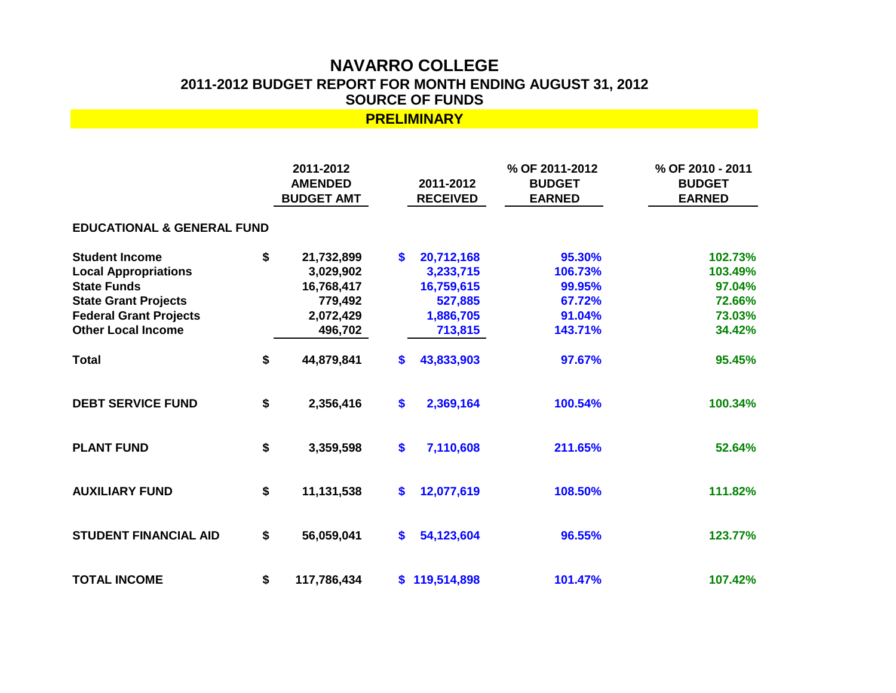## **NAVARRO COLLEGE 2011-2012 BUDGET REPORT FOR MONTH ENDING AUGUST 31, 2012 SOURCE OF FUNDS**

| <b>PRELIMINARY</b>                                                                                                                                                      |    |                                                                          |                   |                                                                          |                                                            |                                                            |
|-------------------------------------------------------------------------------------------------------------------------------------------------------------------------|----|--------------------------------------------------------------------------|-------------------|--------------------------------------------------------------------------|------------------------------------------------------------|------------------------------------------------------------|
|                                                                                                                                                                         |    | 2011-2012<br><b>AMENDED</b><br><b>BUDGET AMT</b>                         |                   | 2011-2012<br><b>RECEIVED</b>                                             | % OF 2011-2012<br><b>BUDGET</b><br><b>EARNED</b>           | % OF 2010 - 2011<br><b>BUDGET</b><br><b>EARNED</b>         |
| <b>EDUCATIONAL &amp; GENERAL FUND</b>                                                                                                                                   |    |                                                                          |                   |                                                                          |                                                            |                                                            |
| <b>Student Income</b><br><b>Local Appropriations</b><br><b>State Funds</b><br><b>State Grant Projects</b><br><b>Federal Grant Projects</b><br><b>Other Local Income</b> | \$ | 21,732,899<br>3,029,902<br>16,768,417<br>779,492<br>2,072,429<br>496,702 | $\mathbf{s}$      | 20,712,168<br>3,233,715<br>16,759,615<br>527,885<br>1,886,705<br>713,815 | 95.30%<br>106.73%<br>99.95%<br>67.72%<br>91.04%<br>143.71% | 102.73%<br>103.49%<br>97.04%<br>72.66%<br>73.03%<br>34.42% |
| <b>Total</b>                                                                                                                                                            | \$ | 44,879,841                                                               | \$                | 43,833,903                                                               | 97.67%                                                     | 95.45%                                                     |
| <b>DEBT SERVICE FUND</b>                                                                                                                                                | \$ | 2,356,416                                                                | \$                | 2,369,164                                                                | 100.54%                                                    | 100.34%                                                    |
| <b>PLANT FUND</b>                                                                                                                                                       | \$ | 3,359,598                                                                | $\boldsymbol{\$}$ | 7,110,608                                                                | 211.65%                                                    | 52.64%                                                     |
| <b>AUXILIARY FUND</b>                                                                                                                                                   | \$ | 11,131,538                                                               | \$                | 12,077,619                                                               | 108.50%                                                    | 111.82%                                                    |
| <b>STUDENT FINANCIAL AID</b>                                                                                                                                            | \$ | 56,059,041                                                               | $\mathbf{s}$      | 54,123,604                                                               | 96.55%                                                     | 123.77%                                                    |
| <b>TOTAL INCOME</b>                                                                                                                                                     | \$ | 117,786,434                                                              | \$                | 119,514,898                                                              | 101.47%                                                    | 107.42%                                                    |